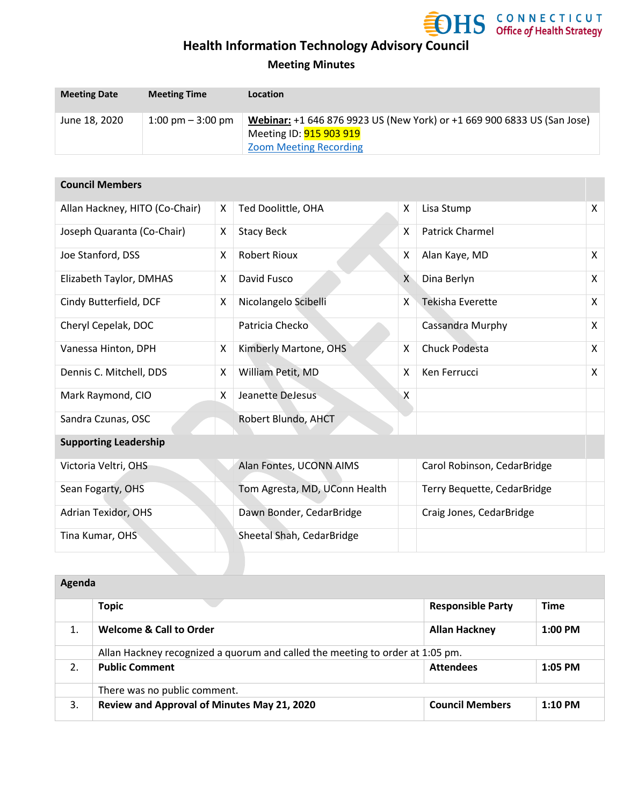

### **Meeting Minutes**

| <b>Meeting Date</b> | <b>Meeting Time</b>                 | Location                                                                                                                                   |
|---------------------|-------------------------------------|--------------------------------------------------------------------------------------------------------------------------------------------|
| June 18, 2020       | $1:00 \text{ pm} - 3:00 \text{ pm}$ | Webinar: +1 646 876 9923 US (New York) or +1 669 900 6833 US (San Jose)<br>Meeting ID: <b>915 903 919</b><br><b>Zoom Meeting Recording</b> |

| <b>Council Members</b>         |   |                               |              |                             |                           |
|--------------------------------|---|-------------------------------|--------------|-----------------------------|---------------------------|
| Allan Hackney, HITO (Co-Chair) | X | Ted Doolittle, OHA            | X            | Lisa Stump                  | $\mathsf{x}$              |
| Joseph Quaranta (Co-Chair)     | X | <b>Stacy Beck</b>             | X            | <b>Patrick Charmel</b>      |                           |
| Joe Stanford, DSS              | X | <b>Robert Rioux</b>           | X            | Alan Kaye, MD               | $\mathsf{X}$              |
| Elizabeth Taylor, DMHAS        | X | David Fusco                   | $\mathsf{X}$ | Dina Berlyn                 | $\mathsf{X}$              |
| Cindy Butterfield, DCF         | X | Nicolangelo Scibelli          | X            | <b>Tekisha Everette</b>     | X                         |
| Cheryl Cepelak, DOC            |   | Patricia Checko               |              | Cassandra Murphy            | $\boldsymbol{\mathsf{X}}$ |
| Vanessa Hinton, DPH            | X | Kimberly Martone, OHS         | X            | <b>Chuck Podesta</b>        | $\mathsf{X}$              |
| Dennis C. Mitchell, DDS        | X | William Petit, MD             | X            | Ken Ferrucci                | $\mathsf{X}$              |
| Mark Raymond, CIO              | X | Jeanette DeJesus              | X            |                             |                           |
| Sandra Czunas, OSC             |   | Robert Blundo, AHCT           |              |                             |                           |
| <b>Supporting Leadership</b>   |   |                               |              |                             |                           |
| Victoria Veltri, OHS           |   | Alan Fontes, UCONN AIMS       |              | Carol Robinson, CedarBridge |                           |
| Sean Fogarty, OHS              |   | Tom Agresta, MD, UConn Health |              | Terry Bequette, CedarBridge |                           |
| Adrian Texidor, OHS            |   | Dawn Bonder, CedarBridge      |              | Craig Jones, CedarBridge    |                           |
| Tina Kumar, OHS                |   | Sheetal Shah, CedarBridge     |              |                             |                           |

| Agenda |                                                                               |                          |             |
|--------|-------------------------------------------------------------------------------|--------------------------|-------------|
|        | <b>Topic</b>                                                                  | <b>Responsible Party</b> | <b>Time</b> |
| 1.     | <b>Welcome &amp; Call to Order</b>                                            | <b>Allan Hackney</b>     | $1:00$ PM   |
|        | Allan Hackney recognized a quorum and called the meeting to order at 1:05 pm. |                          |             |
| 2.     | <b>Public Comment</b>                                                         | <b>Attendees</b>         | $1:05$ PM   |
|        | There was no public comment.                                                  |                          |             |
| 3.     | Review and Approval of Minutes May 21, 2020                                   | <b>Council Members</b>   | $1:10$ PM   |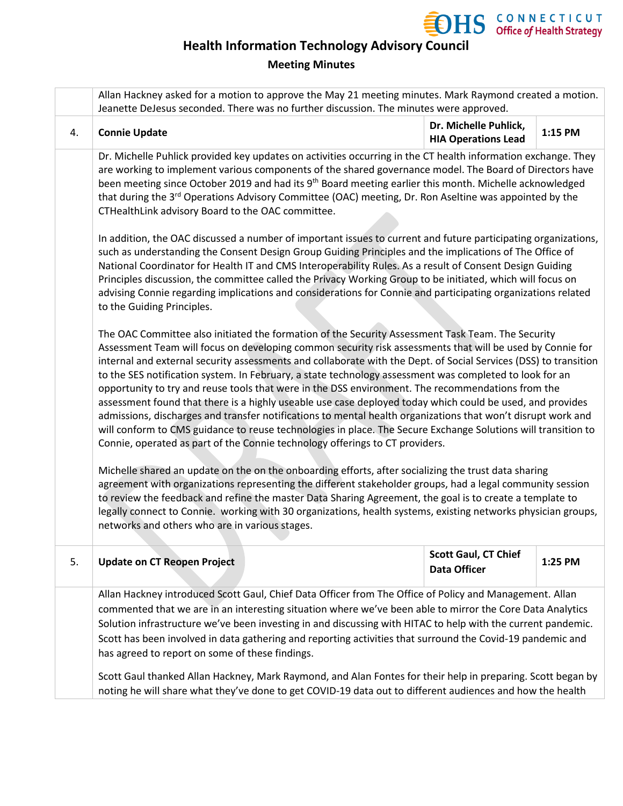

### **Meeting Minutes**

|    | Allan Hackney asked for a motion to approve the May 21 meeting minutes. Mark Raymond created a motion.<br>Jeanette DeJesus seconded. There was no further discussion. The minutes were approved.                                                                                                                                                                                                                                                                                                                                                                                                                                                                                                                                                                                                                                                                                                                                                                                                                                                                                                                                                                                                                                                                                                                                                                                                                                                                                     |                                                     |         |  |
|----|--------------------------------------------------------------------------------------------------------------------------------------------------------------------------------------------------------------------------------------------------------------------------------------------------------------------------------------------------------------------------------------------------------------------------------------------------------------------------------------------------------------------------------------------------------------------------------------------------------------------------------------------------------------------------------------------------------------------------------------------------------------------------------------------------------------------------------------------------------------------------------------------------------------------------------------------------------------------------------------------------------------------------------------------------------------------------------------------------------------------------------------------------------------------------------------------------------------------------------------------------------------------------------------------------------------------------------------------------------------------------------------------------------------------------------------------------------------------------------------|-----------------------------------------------------|---------|--|
| 4. | <b>Connie Update</b>                                                                                                                                                                                                                                                                                                                                                                                                                                                                                                                                                                                                                                                                                                                                                                                                                                                                                                                                                                                                                                                                                                                                                                                                                                                                                                                                                                                                                                                                 | Dr. Michelle Puhlick,<br><b>HIA Operations Lead</b> | 1:15 PM |  |
|    | Dr. Michelle Puhlick provided key updates on activities occurring in the CT health information exchange. They<br>are working to implement various components of the shared governance model. The Board of Directors have<br>been meeting since October 2019 and had its 9 <sup>th</sup> Board meeting earlier this month. Michelle acknowledged<br>that during the 3 <sup>rd</sup> Operations Advisory Committee (OAC) meeting, Dr. Ron Aseltine was appointed by the<br>CTHealthLink advisory Board to the OAC committee.                                                                                                                                                                                                                                                                                                                                                                                                                                                                                                                                                                                                                                                                                                                                                                                                                                                                                                                                                           |                                                     |         |  |
|    | In addition, the OAC discussed a number of important issues to current and future participating organizations,<br>such as understanding the Consent Design Group Guiding Principles and the implications of The Office of<br>National Coordinator for Health IT and CMS Interoperability Rules. As a result of Consent Design Guiding<br>Principles discussion, the committee called the Privacy Working Group to be initiated, which will focus on<br>advising Connie regarding implications and considerations for Connie and participating organizations related<br>to the Guiding Principles.                                                                                                                                                                                                                                                                                                                                                                                                                                                                                                                                                                                                                                                                                                                                                                                                                                                                                    |                                                     |         |  |
|    | The OAC Committee also initiated the formation of the Security Assessment Task Team. The Security<br>Assessment Team will focus on developing common security risk assessments that will be used by Connie for<br>internal and external security assessments and collaborate with the Dept. of Social Services (DSS) to transition<br>to the SES notification system. In February, a state technology assessment was completed to look for an<br>opportunity to try and reuse tools that were in the DSS environment. The recommendations from the<br>assessment found that there is a highly useable use case deployed today which could be used, and provides<br>admissions, discharges and transfer notifications to mental health organizations that won't disrupt work and<br>will conform to CMS guidance to reuse technologies in place. The Secure Exchange Solutions will transition to<br>Connie, operated as part of the Connie technology offerings to CT providers.<br>Michelle shared an update on the on the onboarding efforts, after socializing the trust data sharing<br>agreement with organizations representing the different stakeholder groups, had a legal community session<br>to review the feedback and refine the master Data Sharing Agreement, the goal is to create a template to<br>legally connect to Connie. working with 30 organizations, health systems, existing networks physician groups,<br>networks and others who are in various stages. |                                                     |         |  |
| 5. | <b>Update on CT Reopen Project</b>                                                                                                                                                                                                                                                                                                                                                                                                                                                                                                                                                                                                                                                                                                                                                                                                                                                                                                                                                                                                                                                                                                                                                                                                                                                                                                                                                                                                                                                   | <b>Scott Gaul, CT Chief</b><br><b>Data Officer</b>  | 1:25 PM |  |
|    | Allan Hackney introduced Scott Gaul, Chief Data Officer from The Office of Policy and Management. Allan<br>commented that we are in an interesting situation where we've been able to mirror the Core Data Analytics<br>Solution infrastructure we've been investing in and discussing with HITAC to help with the current pandemic.<br>Scott has been involved in data gathering and reporting activities that surround the Covid-19 pandemic and<br>has agreed to report on some of these findings.<br>Scott Gaul thanked Allan Hackney, Mark Raymond, and Alan Fontes for their help in preparing. Scott began by                                                                                                                                                                                                                                                                                                                                                                                                                                                                                                                                                                                                                                                                                                                                                                                                                                                                 |                                                     |         |  |
|    | noting he will share what they've done to get COVID-19 data out to different audiences and how the health                                                                                                                                                                                                                                                                                                                                                                                                                                                                                                                                                                                                                                                                                                                                                                                                                                                                                                                                                                                                                                                                                                                                                                                                                                                                                                                                                                            |                                                     |         |  |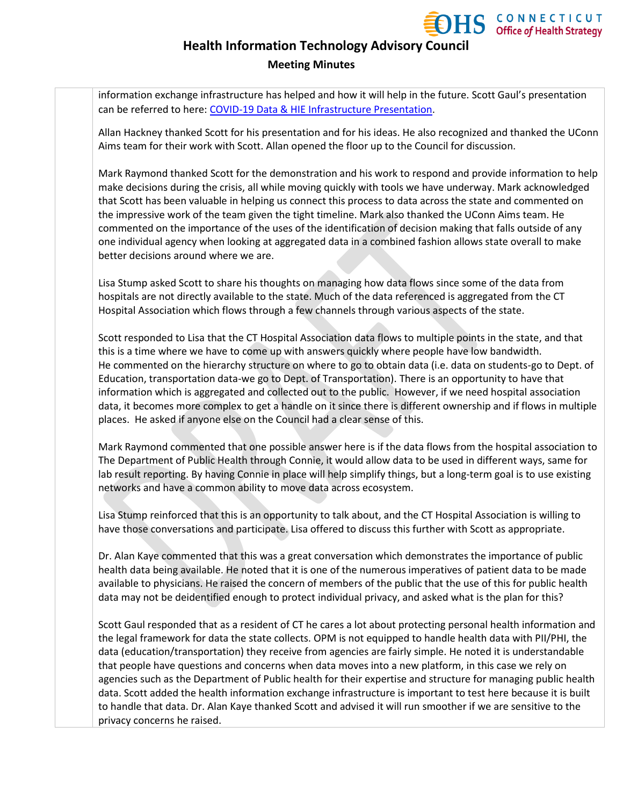

#### **Meeting Minutes**

information exchange infrastructure has helped and how it will help in the future. Scott Gaul's presentation can be referred to here: [COVID-19 Data & HIE Infrastructure Presentation.](https://portal.ct.gov/-/media/OHS/Health-IT-Advisory-Council/Presentations/OHS_HITAC_Meeting-Presentation_061820.pdf#page=8)

Allan Hackney thanked Scott for his presentation and for his ideas. He also recognized and thanked the UConn Aims team for their work with Scott. Allan opened the floor up to the Council for discussion.

Mark Raymond thanked Scott for the demonstration and his work to respond and provide information to help make decisions during the crisis, all while moving quickly with tools we have underway. Mark acknowledged that Scott has been valuable in helping us connect this process to data across the state and commented on the impressive work of the team given the tight timeline. Mark also thanked the UConn Aims team. He commented on the importance of the uses of the identification of decision making that falls outside of any one individual agency when looking at aggregated data in a combined fashion allows state overall to make better decisions around where we are.

Lisa Stump asked Scott to share his thoughts on managing how data flows since some of the data from hospitals are not directly available to the state. Much of the data referenced is aggregated from the CT Hospital Association which flows through a few channels through various aspects of the state.

Scott responded to Lisa that the CT Hospital Association data flows to multiple points in the state, and that this is a time where we have to come up with answers quickly where people have low bandwidth. He commented on the hierarchy structure on where to go to obtain data (i.e. data on students-go to Dept. of Education, transportation data-we go to Dept. of Transportation). There is an opportunity to have that information which is aggregated and collected out to the public. However, if we need hospital association data, it becomes more complex to get a handle on it since there is different ownership and if flows in multiple places. He asked if anyone else on the Council had a clear sense of this.

Mark Raymond commented that one possible answer here is if the data flows from the hospital association to The Department of Public Health through Connie, it would allow data to be used in different ways, same for lab result reporting. By having Connie in place will help simplify things, but a long-term goal is to use existing networks and have a common ability to move data across ecosystem.

Lisa Stump reinforced that this is an opportunity to talk about, and the CT Hospital Association is willing to have those conversations and participate. Lisa offered to discuss this further with Scott as appropriate.

Dr. Alan Kaye commented that this was a great conversation which demonstrates the importance of public health data being available. He noted that it is one of the numerous imperatives of patient data to be made available to physicians. He raised the concern of members of the public that the use of this for public health data may not be deidentified enough to protect individual privacy, and asked what is the plan for this?

Scott Gaul responded that as a resident of CT he cares a lot about protecting personal health information and the legal framework for data the state collects. OPM is not equipped to handle health data with PII/PHI, the data (education/transportation) they receive from agencies are fairly simple. He noted it is understandable that people have questions and concerns when data moves into a new platform, in this case we rely on agencies such as the Department of Public health for their expertise and structure for managing public health data. Scott added the health information exchange infrastructure is important to test here because it is built to handle that data. Dr. Alan Kaye thanked Scott and advised it will run smoother if we are sensitive to the privacy concerns he raised.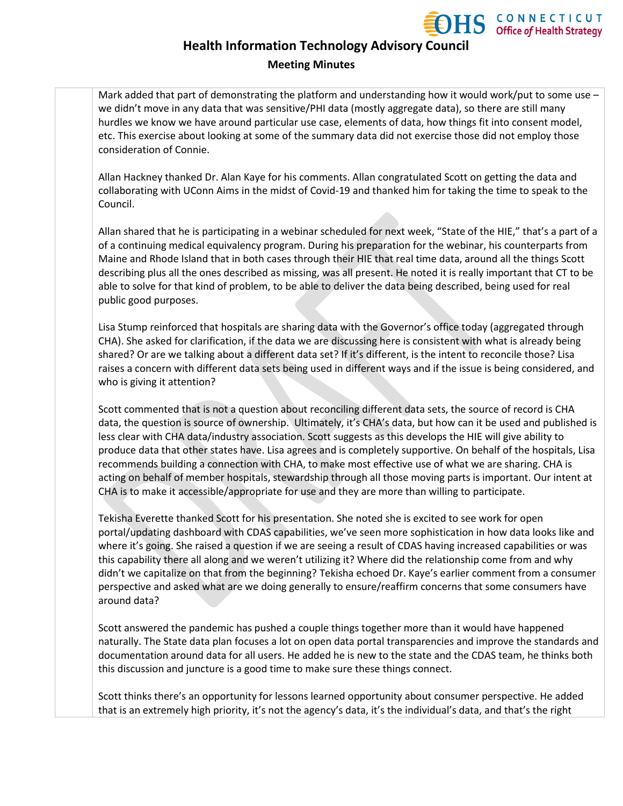

### **Health Information Technology Advisory Council Meeting Minutes**

Mark added that part of demonstrating the platform and understanding how it would work/put to some use we didn't move in any data that was sensitive/PHI data (mostly aggregate data), so there are still many hurdles we know we have around particular use case, elements of data, how things fit into consent model, etc. This exercise about looking at some of the summary data did not exercise those did not employ those consideration of Connie.

Allan Hackney thanked Dr. Alan Kaye for his comments. Allan congratulated Scott on getting the data and collaborating with UConn Aims in the midst of Covid-19 and thanked him for taking the time to speak to the Council.

Allan shared that he is participating in a webinar scheduled for next week, "State of the HIE," that's a part of a of a continuing medical equivalency program. During his preparation for the webinar, his counterparts from Maine and Rhode Island that in both cases through their HIE that real time data, around all the things Scott describing plus all the ones described as missing, was all present. He noted it is really important that CT to be able to solve for that kind of problem, to be able to deliver the data being described, being used for real public good purposes.

Lisa Stump reinforced that hospitals are sharing data with the Governor's office today (aggregated through CHA). She asked for clarification, if the data we are discussing here is consistent with what is already being shared? Or are we talking about a different data set? If it's different, is the intent to reconcile those? Lisa raises a concern with different data sets being used in different ways and if the issue is being considered, and who is giving it attention?

Scott commented that is not a question about reconciling different data sets, the source of record is CHA data, the question is source of ownership. Ultimately, it's CHA's data, but how can it be used and published is less clear with CHA data/industry association. Scott suggests as this develops the HIE will give ability to produce data that other states have. Lisa agrees and is completely supportive. On behalf of the hospitals, Lisa recommends building a connection with CHA, to make most effective use of what we are sharing. CHA is acting on behalf of member hospitals, stewardship through all those moving parts is important. Our intent at CHA is to make it accessible/appropriate for use and they are more than willing to participate.

Tekisha Everette thanked Scott for his presentation. She noted she is excited to see work for open portal/updating dashboard with CDAS capabilities, we've seen more sophistication in how data looks like and where it's going. She raised a question if we are seeing a result of CDAS having increased capabilities or was this capability there all along and we weren't utilizing it? Where did the relationship come from and why didn't we capitalize on that from the beginning? Tekisha echoed Dr. Kaye's earlier comment from a consumer perspective and asked what are we doing generally to ensure/reaffirm concerns that some consumers have around data?

Scott answered the pandemic has pushed a couple things together more than it would have happened naturally. The State data plan focuses a lot on open data portal transparencies and improve the standards and documentation around data for all users. He added he is new to the state and the CDAS team, he thinks both this discussion and juncture is a good time to make sure these things connect.

Scott thinks there's an opportunity for lessons learned opportunity about consumer perspective. He added that is an extremely high priority, it's not the agency's data, it's the individual's data, and that's the right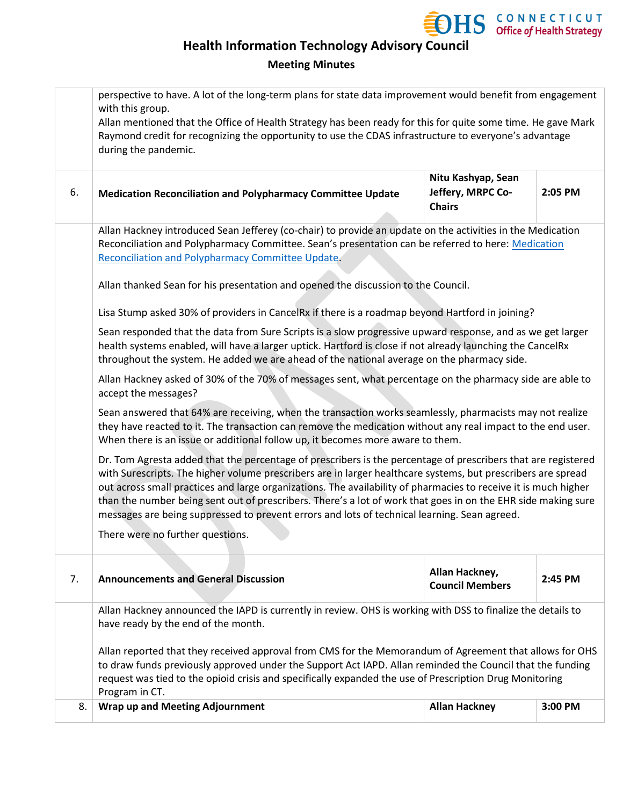

### **Meeting Minutes**

|    | perspective to have. A lot of the long-term plans for state data improvement would benefit from engagement<br>with this group.<br>Allan mentioned that the Office of Health Strategy has been ready for this for quite some time. He gave Mark<br>Raymond credit for recognizing the opportunity to use the CDAS infrastructure to everyone's advantage<br>during the pandemic.                                                                                                                                                                                   |                                                          |         |  |
|----|-------------------------------------------------------------------------------------------------------------------------------------------------------------------------------------------------------------------------------------------------------------------------------------------------------------------------------------------------------------------------------------------------------------------------------------------------------------------------------------------------------------------------------------------------------------------|----------------------------------------------------------|---------|--|
| 6. | <b>Medication Reconciliation and Polypharmacy Committee Update</b>                                                                                                                                                                                                                                                                                                                                                                                                                                                                                                | Nitu Kashyap, Sean<br>Jeffery, MRPC Co-<br><b>Chairs</b> | 2:05 PM |  |
|    | Allan Hackney introduced Sean Jefferey (co-chair) to provide an update on the activities in the Medication<br>Reconciliation and Polypharmacy Committee. Sean's presentation can be referred to here: Medication<br><b>Reconciliation and Polypharmacy Committee Update</b>                                                                                                                                                                                                                                                                                       |                                                          |         |  |
|    | Allan thanked Sean for his presentation and opened the discussion to the Council.                                                                                                                                                                                                                                                                                                                                                                                                                                                                                 |                                                          |         |  |
|    | Lisa Stump asked 30% of providers in CancelRx if there is a roadmap beyond Hartford in joining?                                                                                                                                                                                                                                                                                                                                                                                                                                                                   |                                                          |         |  |
|    | Sean responded that the data from Sure Scripts is a slow progressive upward response, and as we get larger<br>health systems enabled, will have a larger uptick. Hartford is close if not already launching the CancelRx<br>throughout the system. He added we are ahead of the national average on the pharmacy side.                                                                                                                                                                                                                                            |                                                          |         |  |
|    | Allan Hackney asked of 30% of the 70% of messages sent, what percentage on the pharmacy side are able to<br>accept the messages?                                                                                                                                                                                                                                                                                                                                                                                                                                  |                                                          |         |  |
|    | Sean answered that 64% are receiving, when the transaction works seamlessly, pharmacists may not realize<br>they have reacted to it. The transaction can remove the medication without any real impact to the end user.<br>When there is an issue or additional follow up, it becomes more aware to them.                                                                                                                                                                                                                                                         |                                                          |         |  |
|    | Dr. Tom Agresta added that the percentage of prescribers is the percentage of prescribers that are registered<br>with Surescripts. The higher volume prescribers are in larger healthcare systems, but prescribers are spread<br>out across small practices and large organizations. The availability of pharmacies to receive it is much higher<br>than the number being sent out of prescribers. There's a lot of work that goes in on the EHR side making sure<br>messages are being suppressed to prevent errors and lots of technical learning. Sean agreed. |                                                          |         |  |
|    | There were no further questions.                                                                                                                                                                                                                                                                                                                                                                                                                                                                                                                                  |                                                          |         |  |
| 7. | <b>Announcements and General Discussion</b>                                                                                                                                                                                                                                                                                                                                                                                                                                                                                                                       | Allan Hackney,<br><b>Council Members</b>                 | 2:45 PM |  |
|    | Allan Hackney announced the IAPD is currently in review. OHS is working with DSS to finalize the details to<br>have ready by the end of the month.                                                                                                                                                                                                                                                                                                                                                                                                                |                                                          |         |  |
|    | Allan reported that they received approval from CMS for the Memorandum of Agreement that allows for OHS<br>to draw funds previously approved under the Support Act IAPD. Allan reminded the Council that the funding<br>request was tied to the opioid crisis and specifically expanded the use of Prescription Drug Monitoring<br>Program in CT.                                                                                                                                                                                                                 |                                                          |         |  |
| 8. | <b>Wrap up and Meeting Adjournment</b>                                                                                                                                                                                                                                                                                                                                                                                                                                                                                                                            | <b>Allan Hackney</b>                                     | 3:00 PM |  |